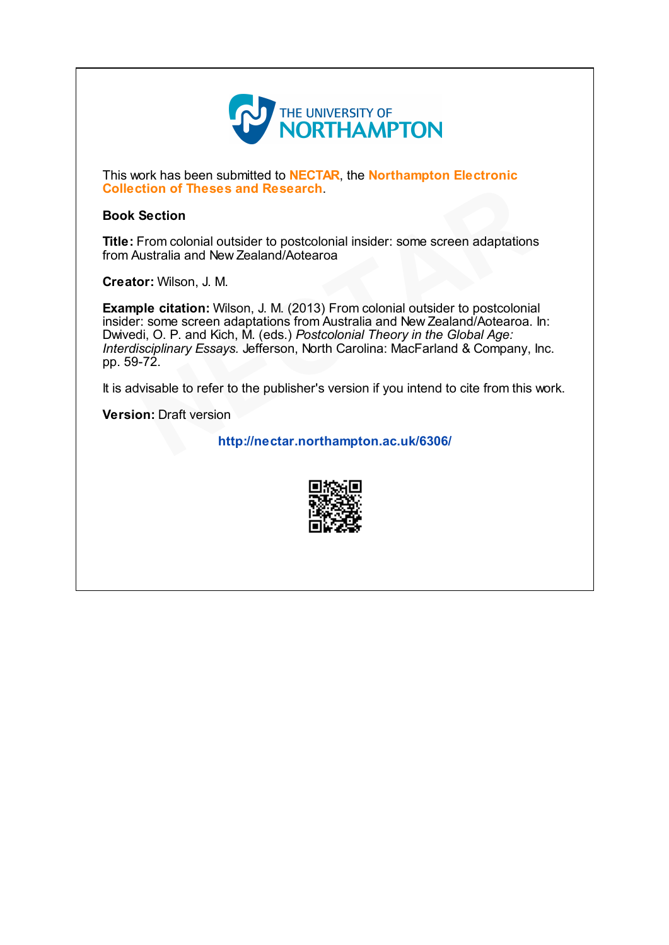

This work has been submitted to **NECTAR**, the **Northampton Electronic** Collection of Theses and Research.

# Book Section

Title: From colonial outsider to postcolonial insider: some screen adaptations from Australia and New Zealand/Aotearoa

Creator: Wilson, J. M.

Example citation: Wilson, J. M. (2013) From colonial outsider to postcolonial insider: some screen adaptations from Australia and New Zealand/Aotearoa. In: Dwivedi, O. P. and Kich, M. (eds.) Postcolonial Theory in the Global Age: Interdisciplinary Essays. Jefferson, North Carolina: MacFarland & Company, Inc. pp. 59-72. d Kich, M. (eds.<br>Essays. Jefferso:<br>Essays. Jefferso:<br>efer to the publ Research.<br>
In the postcolonial insider: some screen adaptations<br>
Iand/Aotearoa<br>
J. M. (2013) From colonial outsider to postcolonia<br>
ations from Australia and New Zealand/Aotearoa.<br>
(eds.) *Postcolonial Theory in the Global* 

It is advisable to refer to the publisher's version if you intend to cite from this work.

Version: Draft version -72.<br>Ivisable to refer<br>**on:** Draft version

htt [p://nectar.northampton.ac.uk/6306/](http://nectar.northampton.ac.uk/6306/)

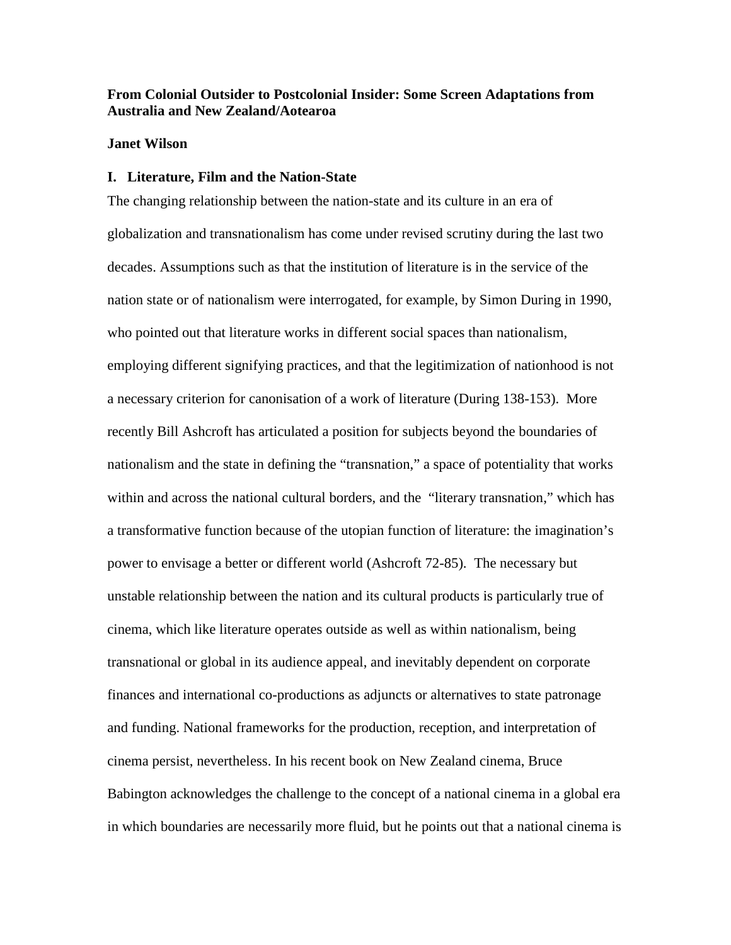# **From Colonial Outsider to Postcolonial Insider: Some Screen Adaptations from Australia and New Zealand/Aotearoa**

## **Janet Wilson**

## **I. Literature, Film and the Nation-State**

The changing relationship between the nation-state and its culture in an era of globalization and transnationalism has come under revised scrutiny during the last two decades. Assumptions such as that the institution of literature is in the service of the nation state or of nationalism were interrogated, for example, by Simon During in 1990, who pointed out that literature works in different social spaces than nationalism, employing different signifying practices, and that the legitimization of nationhood is not a necessary criterion for canonisation of a work of literature (During 138-153). More recently Bill Ashcroft has articulated a position for subjects beyond the boundaries of nationalism and the state in defining the "transnation," a space of potentiality that works within and across the national cultural borders, and the "literary transnation," which has a transformative function because of the utopian function of literature: the imagination's power to envisage a better or different world (Ashcroft 72-85). The necessary but unstable relationship between the nation and its cultural products is particularly true of cinema, which like literature operates outside as well as within nationalism, being transnational or global in its audience appeal, and inevitably dependent on corporate finances and international co-productions as adjuncts or alternatives to state patronage and funding. National frameworks for the production, reception, and interpretation of cinema persist, nevertheless. In his recent book on New Zealand cinema, Bruce Babington acknowledges the challenge to the concept of a national cinema in a global era in which boundaries are necessarily more fluid, but he points out that a national cinema is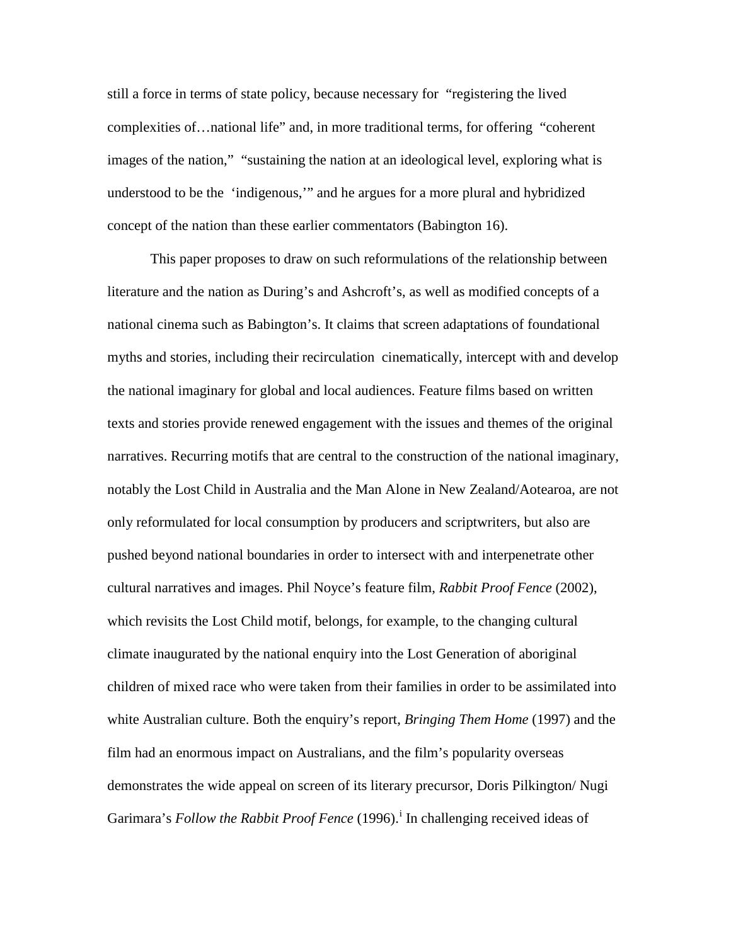still a force in terms of state policy, because necessary for "registering the lived complexities of…national life" and, in more traditional terms, for offering "coherent images of the nation," "sustaining the nation at an ideological level, exploring what is understood to be the 'indigenous,'" and he argues for a more plural and hybridized concept of the nation than these earlier commentators (Babington 16).

This paper proposes to draw on such reformulations of the relationship between literature and the nation as During's and Ashcroft's, as well as modified concepts of a national cinema such as Babington's. It claims that screen adaptations of foundational myths and stories, including their recirculation cinematically, intercept with and develop the national imaginary for global and local audiences. Feature films based on written texts and stories provide renewed engagement with the issues and themes of the original narratives. Recurring motifs that are central to the construction of the national imaginary, notably the Lost Child in Australia and the Man Alone in New Zealand/Aotearoa, are not only reformulated for local consumption by producers and scriptwriters, but also are pushed beyond national boundaries in order to intersect with and interpenetrate other cultural narratives and images. Phil Noyce's feature film, *Rabbit Proof Fence* (2002), which revisits the Lost Child motif, belongs, for example, to the changing cultural climate inaugurated by the national enquiry into the Lost Generation of aboriginal children of mixed race who were taken from their families in order to be assimilated into white Australian culture. Both the enquiry's report, *Bringing Them Home* (1997) and the film had an enormous impact on Australians, and the film's popularity overseas demonstrates the wide appeal on screen of its literary precursor, Doris Pilkington/ Nugi Gar[i](#page-18-0)mara's *Follow the Rabbit Proof Fence* (1996).<sup>1</sup> In challenging received ideas of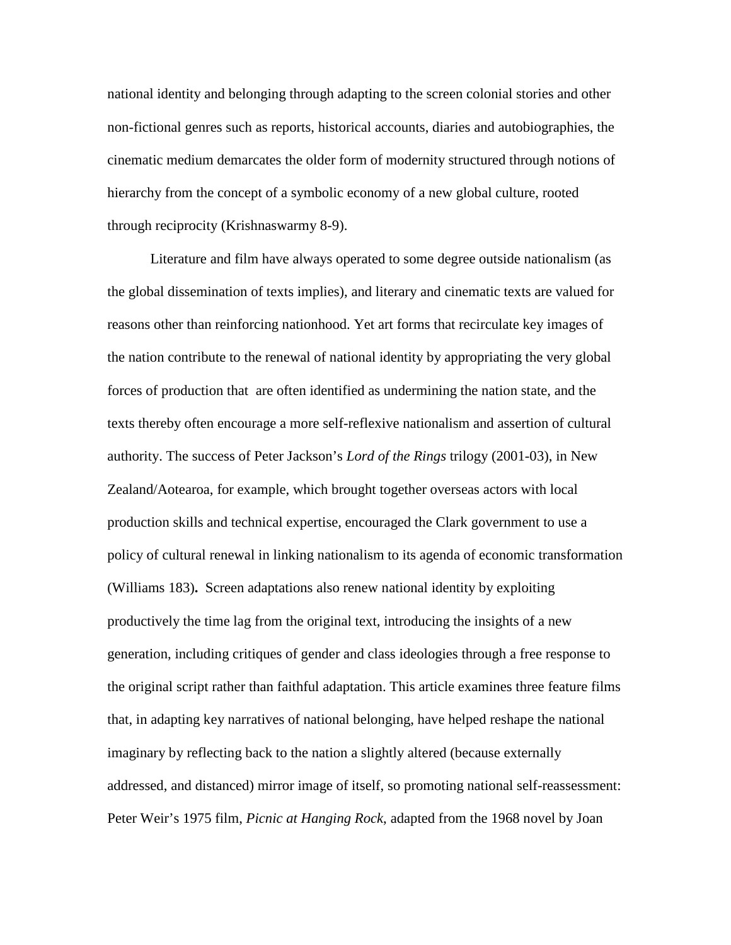national identity and belonging through adapting to the screen colonial stories and other non-fictional genres such as reports, historical accounts, diaries and autobiographies, the cinematic medium demarcates the older form of modernity structured through notions of hierarchy from the concept of a symbolic economy of a new global culture, rooted through reciprocity (Krishnaswarmy 8-9).

Literature and film have always operated to some degree outside nationalism (as the global dissemination of texts implies), and literary and cinematic texts are valued for reasons other than reinforcing nationhood. Yet art forms that recirculate key images of the nation contribute to the renewal of national identity by appropriating the very global forces of production that are often identified as undermining the nation state, and the texts thereby often encourage a more self-reflexive nationalism and assertion of cultural authority. The success of Peter Jackson's *Lord of the Rings* trilogy (2001-03), in New Zealand/Aotearoa, for example, which brought together overseas actors with local production skills and technical expertise, encouraged the Clark government to use a policy of cultural renewal in linking nationalism to its agenda of economic transformation (Williams 183)**.** Screen adaptations also renew national identity by exploiting productively the time lag from the original text, introducing the insights of a new generation, including critiques of gender and class ideologies through a free response to the original script rather than faithful adaptation. This article examines three feature films that, in adapting key narratives of national belonging, have helped reshape the national imaginary by reflecting back to the nation a slightly altered (because externally addressed, and distanced) mirror image of itself, so promoting national self-reassessment: Peter Weir's 1975 film, *Picnic at Hanging Rock*, adapted from the 1968 novel by Joan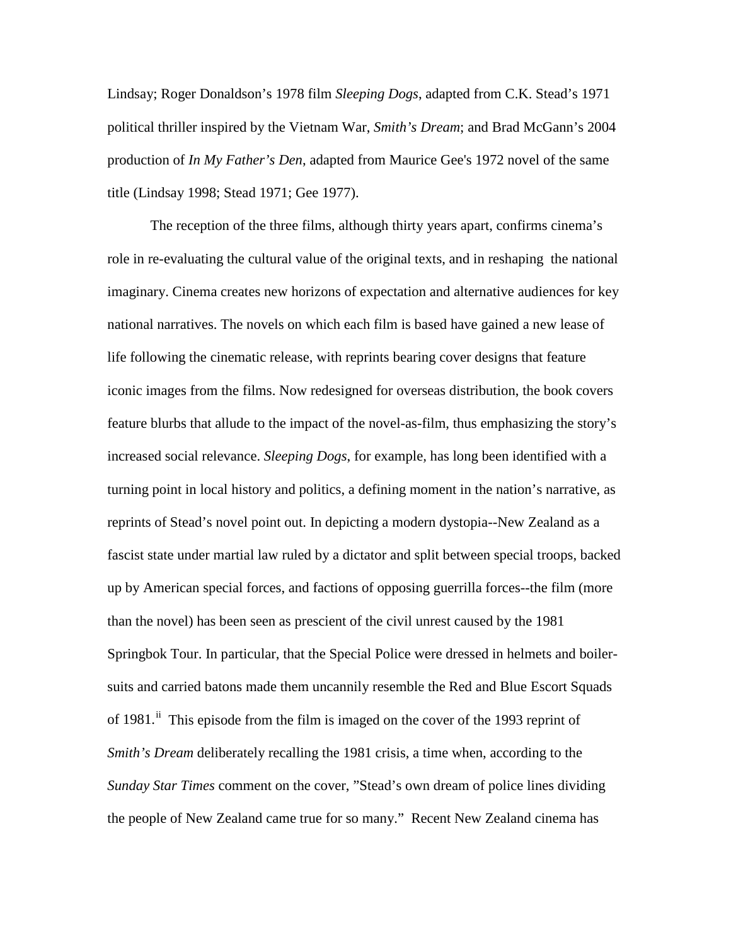Lindsay; Roger Donaldson's 1978 film *Sleeping Dogs*, adapted from C.K. Stead's 1971 political thriller inspired by the Vietnam War, *Smith's Dream*; and Brad McGann's 2004 production of *In My Father's Den*, adapted from Maurice Gee's 1972 novel of the same title (Lindsay 1998; Stead 1971; Gee 1977).

The reception of the three films, although thirty years apart, confirms cinema's role in re-evaluating the cultural value of the original texts, and in reshaping the national imaginary. Cinema creates new horizons of expectation and alternative audiences for key national narratives. The novels on which each film is based have gained a new lease of life following the cinematic release, with reprints bearing cover designs that feature iconic images from the films. Now redesigned for overseas distribution, the book covers feature blurbs that allude to the impact of the novel-as-film, thus emphasizing the story's increased social relevance. *Sleeping Dogs*, for example*,* has long been identified with a turning point in local history and politics, a defining moment in the nation's narrative, as reprints of Stead's novel point out. In depicting a modern dystopia--New Zealand as a fascist state under martial law ruled by a dictator and split between special troops, backed up by American special forces, and factions of opposing guerrilla forces--the film (more than the novel) has been seen as prescient of the civil unrest caused by the 1981 Springbok Tour. In particular, that the Special Police were dressed in helmets and boilersuits and carried batons made them uncannily resemble the Red and Blue Escort Squads of 1981.<sup>[ii](#page-19-0)</sup> This episode from the film is imaged on the cover of the 1993 reprint of *Smith's Dream* deliberately recalling the 1981 crisis, a time when, according to the *Sunday Star Times* comment on the cover, "Stead's own dream of police lines dividing the people of New Zealand came true for so many." Recent New Zealand cinema has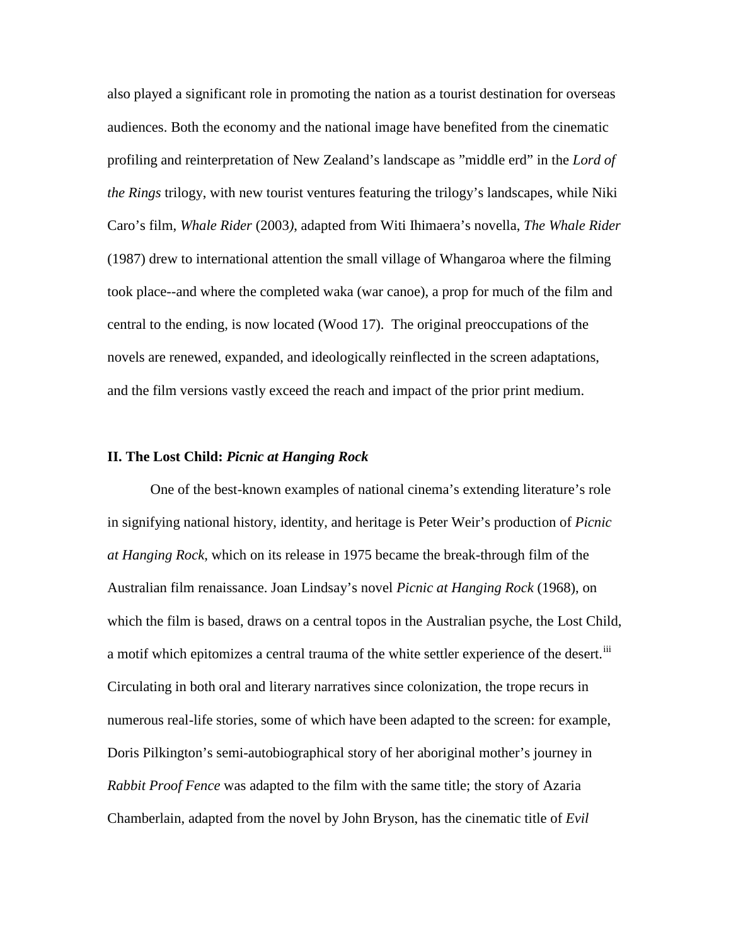also played a significant role in promoting the nation as a tourist destination for overseas audiences. Both the economy and the national image have benefited from the cinematic profiling and reinterpretation of New Zealand's landscape as "middle erd" in the *Lord of the Rings* trilogy, with new tourist ventures featuring the trilogy's landscapes, while Niki Caro's film, *Whale Rider* (2003*)*, adapted from Witi Ihimaera's novella, *The Whale Rider* (1987) drew to international attention the small village of Whangaroa where the filming took place--and where the completed waka (war canoe), a prop for much of the film and central to the ending, is now located (Wood 17). The original preoccupations of the novels are renewed, expanded, and ideologically reinflected in the screen adaptations, and the film versions vastly exceed the reach and impact of the prior print medium.

## **II. The Lost Child:** *Picnic at Hanging Rock*

One of the best-known examples of national cinema's extending literature's role in signifying national history, identity, and heritage is Peter Weir's production of *Picnic at Hanging Rock*, which on its release in 1975 became the break-through film of the Australian film renaissance. Joan Lindsay's novel *Picnic at Hanging Rock* (1968), on which the film is based, draws on a central topos in the Australian psyche, the Lost Child, a motif which epitomizes a central trauma of the white settler experience of the desert.<sup>[iii](#page-20-0)</sup> Circulating in both oral and literary narratives since colonization, the trope recurs in numerous real-life stories, some of which have been adapted to the screen: for example, Doris Pilkington's semi-autobiographical story of her aboriginal mother's journey in *Rabbit Proof Fence* was adapted to the film with the same title; the story of Azaria Chamberlain, adapted from the novel by John Bryson, has the cinematic title of *Evil*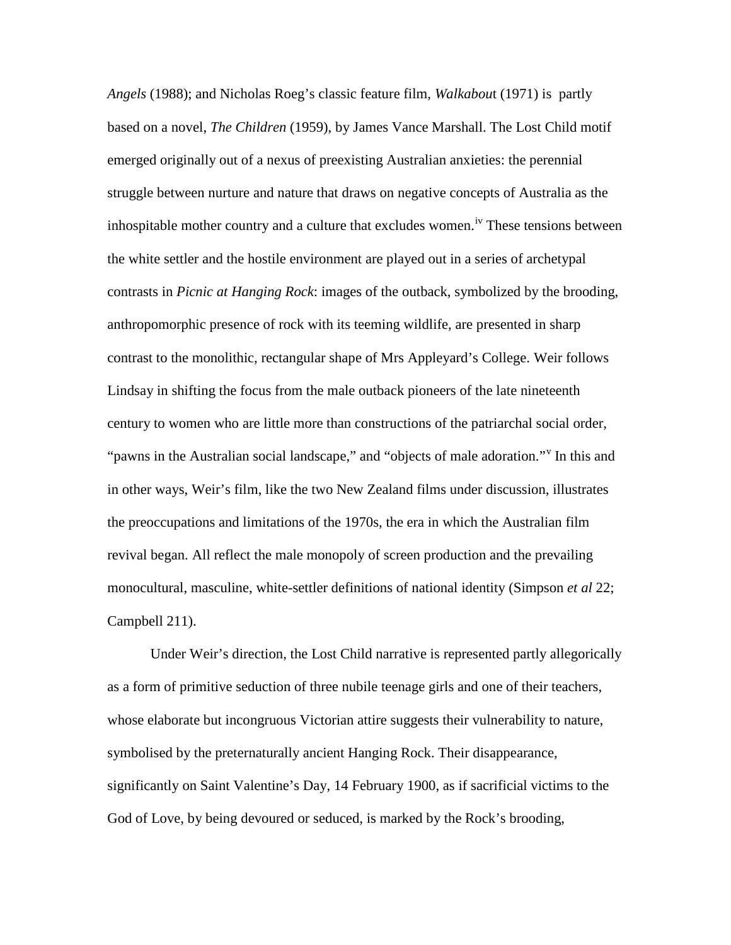*Angels* (1988); and Nicholas Roeg's classic feature film, *Walkabou*t (1971) is partly based on a novel, *The Children* (1959), by James Vance Marshall. The Lost Child motif emerged originally out of a nexus of preexisting Australian anxieties: the perennial struggle between nurture and nature that draws on negative concepts of Australia as the inhospitable mother country and a culture that excludes women.<sup>[iv](#page-21-0)</sup> These tensions between the white settler and the hostile environment are played out in a series of archetypal contrasts in *Picnic at Hanging Rock*: images of the outback, symbolized by the brooding, anthropomorphic presence of rock with its teeming wildlife, are presented in sharp contrast to the monolithic, rectangular shape of Mrs Appleyard's College. Weir follows Lindsay in shifting the focus from the male outback pioneers of the late nineteenth century to women who are little more than constructions of the patriarchal social order, "pawns in the Australian social landscape," and "objects of male adoration." In this and in other ways, Weir's film, like the two New Zealand films under discussion, illustrates the preoccupations and limitations of the 1970s, the era in which the Australian film revival began. All reflect the male monopoly of screen production and the prevailing monocultural, masculine, white-settler definitions of national identity (Simpson *et al* 22; Campbell 211).

Under Weir's direction, the Lost Child narrative is represented partly allegorically as a form of primitive seduction of three nubile teenage girls and one of their teachers, whose elaborate but incongruous Victorian attire suggests their vulnerability to nature, symbolised by the preternaturally ancient Hanging Rock. Their disappearance, significantly on Saint Valentine's Day, 14 February 1900, as if sacrificial victims to the God of Love, by being devoured or seduced, is marked by the Rock's brooding,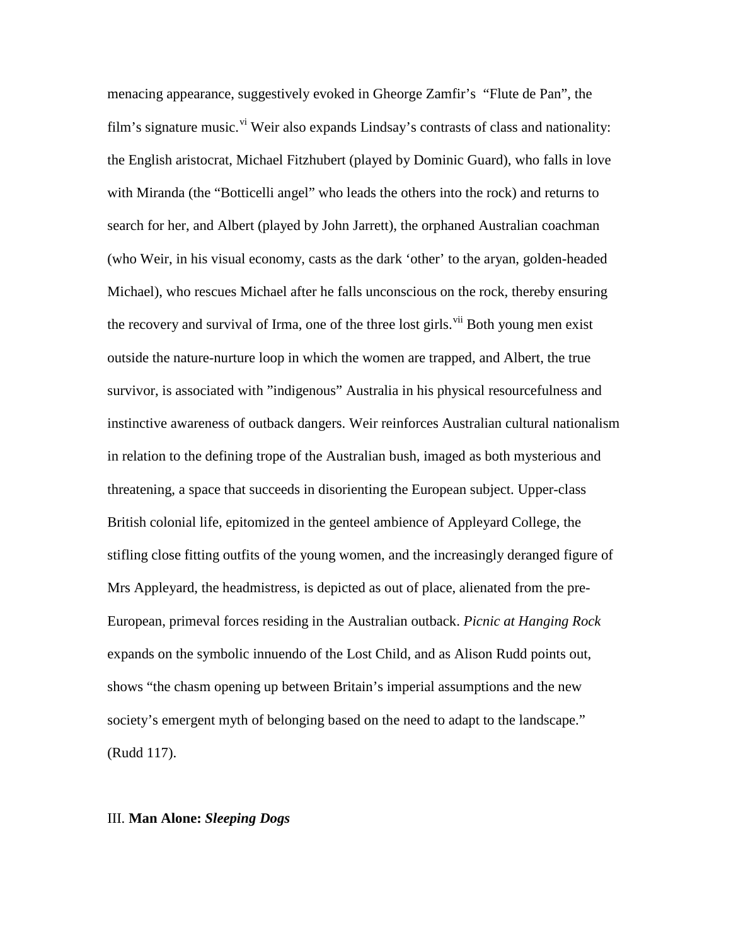menacing appearance, suggestively evoked in Gheorge Zamfir's "Flute de Pan", the film's signature music.<sup>[vi](#page-21-2)</sup> Weir also expands Lindsay's contrasts of class and nationality: the English aristocrat, Michael Fitzhubert (played by Dominic Guard), who falls in love with Miranda (the "Botticelli angel" who leads the others into the rock) and returns to search for her, and Albert (played by John Jarrett), the orphaned Australian coachman (who Weir, in his visual economy, casts as the dark 'other' to the aryan, golden-headed Michael), who rescues Michael after he falls unconscious on the rock, thereby ensuring the recovery and survival of Irma, one of the three lost girls.<sup>[vii](#page-21-3)</sup> Both young men exist outside the nature-nurture loop in which the women are trapped, and Albert, the true survivor, is associated with "indigenous" Australia in his physical resourcefulness and instinctive awareness of outback dangers. Weir reinforces Australian cultural nationalism in relation to the defining trope of the Australian bush, imaged as both mysterious and threatening, a space that succeeds in disorienting the European subject. Upper-class British colonial life, epitomized in the genteel ambience of Appleyard College, the stifling close fitting outfits of the young women, and the increasingly deranged figure of Mrs Appleyard, the headmistress, is depicted as out of place, alienated from the pre-European, primeval forces residing in the Australian outback. *Picnic at Hanging Rock* expands on the symbolic innuendo of the Lost Child, and as Alison Rudd points out, shows "the chasm opening up between Britain's imperial assumptions and the new society's emergent myth of belonging based on the need to adapt to the landscape." (Rudd 117).

#### III. **Man Alone:** *Sleeping Dogs*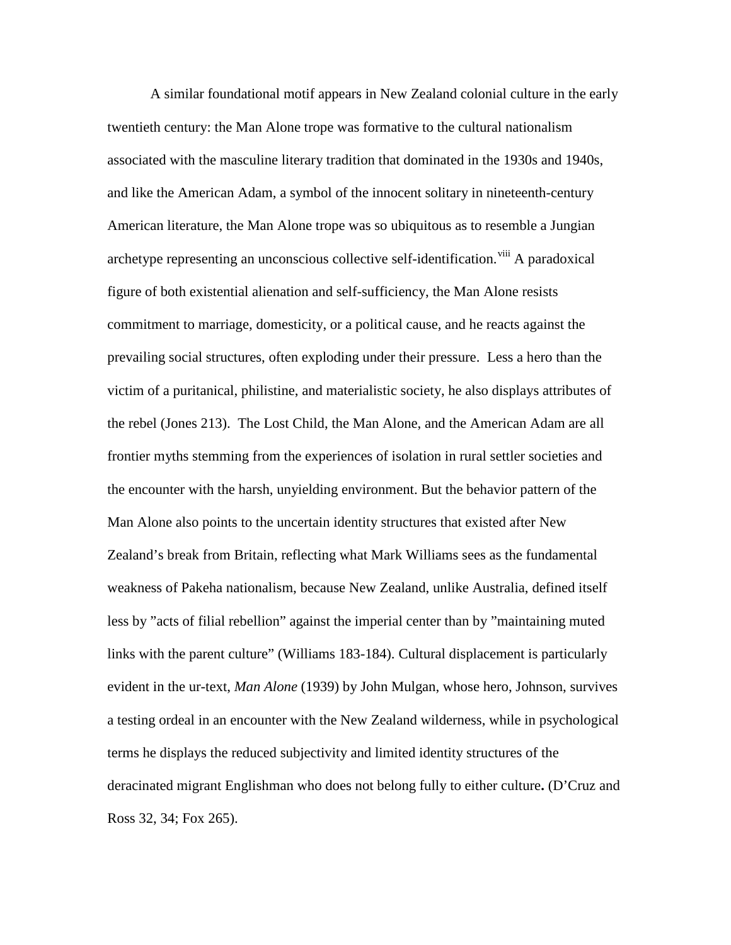A similar foundational motif appears in New Zealand colonial culture in the early twentieth century: the Man Alone trope was formative to the cultural nationalism associated with the masculine literary tradition that dominated in the 1930s and 1940s, and like the American Adam, a symbol of the innocent solitary in nineteenth-century American literature, the Man Alone trope was so ubiquitous as to resemble a Jungian archetype representing an unconscious collective self-identification.<sup>[viii](#page-21-4)</sup> A paradoxical figure of both existential alienation and self-sufficiency, the Man Alone resists commitment to marriage, domesticity, or a political cause, and he reacts against the prevailing social structures, often exploding under their pressure. Less a hero than the victim of a puritanical, philistine, and materialistic society, he also displays attributes of the rebel (Jones 213). The Lost Child, the Man Alone, and the American Adam are all frontier myths stemming from the experiences of isolation in rural settler societies and the encounter with the harsh, unyielding environment. But the behavior pattern of the Man Alone also points to the uncertain identity structures that existed after New Zealand's break from Britain, reflecting what Mark Williams sees as the fundamental weakness of Pakeha nationalism, because New Zealand, unlike Australia, defined itself less by "acts of filial rebellion" against the imperial center than by "maintaining muted links with the parent culture" (Williams 183-184). Cultural displacement is particularly evident in the ur-text, *Man Alone* (1939) by John Mulgan, whose hero, Johnson, survives a testing ordeal in an encounter with the New Zealand wilderness, while in psychological terms he displays the reduced subjectivity and limited identity structures of the deracinated migrant Englishman who does not belong fully to either culture**.** (D'Cruz and Ross 32, 34; Fox 265).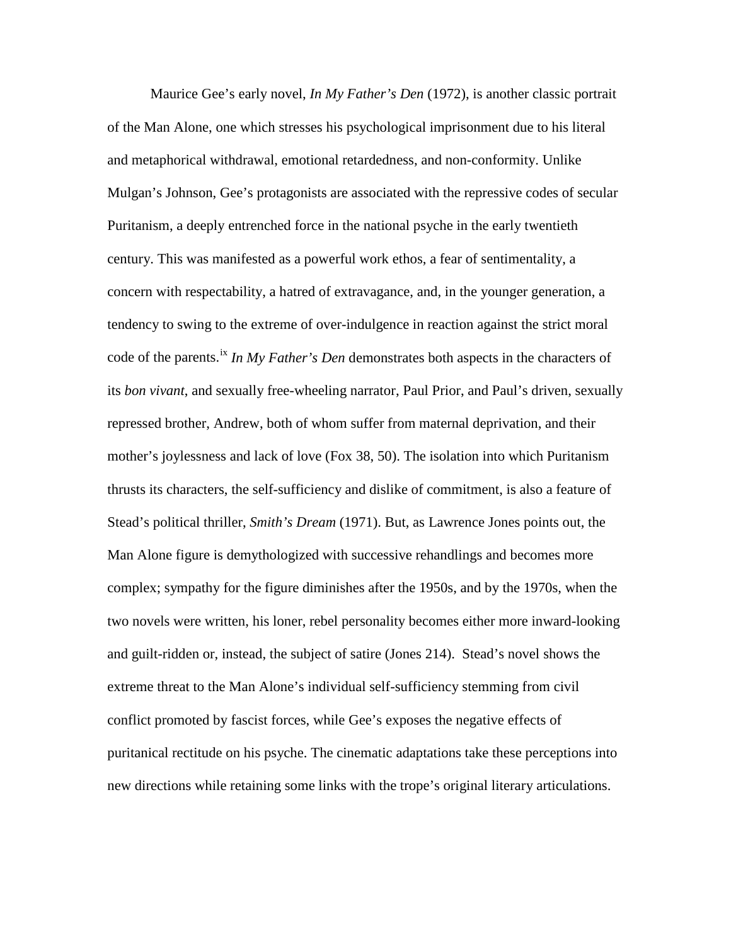Maurice Gee's early novel, *In My Father's Den* (1972), is another classic portrait of the Man Alone, one which stresses his psychological imprisonment due to his literal and metaphorical withdrawal, emotional retardedness, and non-conformity. Unlike Mulgan's Johnson, Gee's protagonists are associated with the repressive codes of secular Puritanism, a deeply entrenched force in the national psyche in the early twentieth century. This was manifested as a powerful work ethos, a fear of sentimentality, a concern with respectability, a hatred of extravagance, and, in the younger generation, a tendency to swing to the extreme of over-indulgence in reaction against the strict moral code of the parents.<sup>[ix](#page-21-5)</sup> *In My Father's Den* demonstrates both aspects in the characters of its *bon vivant*, and sexually free-wheeling narrator, Paul Prior, and Paul's driven, sexually repressed brother, Andrew, both of whom suffer from maternal deprivation, and their mother's joylessness and lack of love (Fox 38, 50). The isolation into which Puritanism thrusts its characters, the self-sufficiency and dislike of commitment, is also a feature of Stead's political thriller, *Smith's Dream* (1971). But, as Lawrence Jones points out, the Man Alone figure is demythologized with successive rehandlings and becomes more complex; sympathy for the figure diminishes after the 1950s, and by the 1970s, when the two novels were written, his loner, rebel personality becomes either more inward-looking and guilt-ridden or, instead, the subject of satire (Jones 214). Stead's novel shows the extreme threat to the Man Alone's individual self-sufficiency stemming from civil conflict promoted by fascist forces, while Gee's exposes the negative effects of puritanical rectitude on his psyche. The cinematic adaptations take these perceptions into new directions while retaining some links with the trope's original literary articulations.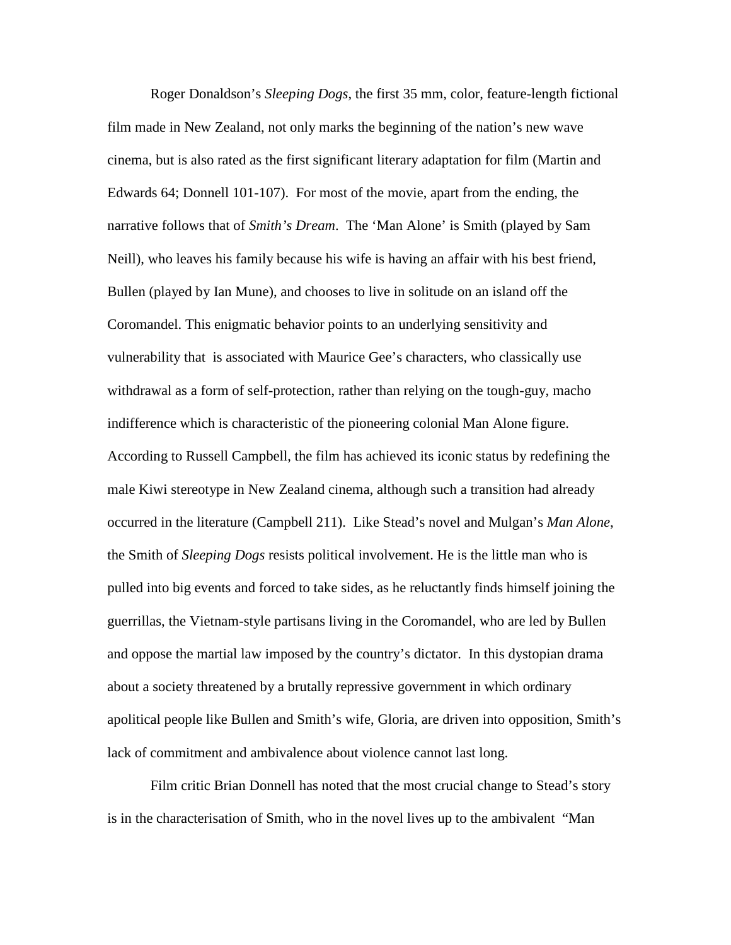Roger Donaldson's *Sleeping Dogs*, the first 35 mm, color, feature-length fictional film made in New Zealand, not only marks the beginning of the nation's new wave cinema, but is also rated as the first significant literary adaptation for film (Martin and Edwards 64; Donnell 101-107). For most of the movie, apart from the ending, the narrative follows that of *Smith's Dream*. The 'Man Alone' is Smith (played by Sam Neill), who leaves his family because his wife is having an affair with his best friend, Bullen (played by Ian Mune), and chooses to live in solitude on an island off the Coromandel. This enigmatic behavior points to an underlying sensitivity and vulnerability that is associated with Maurice Gee's characters, who classically use withdrawal as a form of self-protection, rather than relying on the tough-guy, macho indifference which is characteristic of the pioneering colonial Man Alone figure. According to Russell Campbell, the film has achieved its iconic status by redefining the male Kiwi stereotype in New Zealand cinema, although such a transition had already occurred in the literature (Campbell 211). Like Stead's novel and Mulgan's *Man Alone*, the Smith of *Sleeping Dogs* resists political involvement. He is the little man who is pulled into big events and forced to take sides, as he reluctantly finds himself joining the guerrillas, the Vietnam-style partisans living in the Coromandel, who are led by Bullen and oppose the martial law imposed by the country's dictator. In this dystopian drama about a society threatened by a brutally repressive government in which ordinary apolitical people like Bullen and Smith's wife, Gloria, are driven into opposition, Smith's lack of commitment and ambivalence about violence cannot last long.

Film critic Brian Donnell has noted that the most crucial change to Stead's story is in the characterisation of Smith, who in the novel lives up to the ambivalent "Man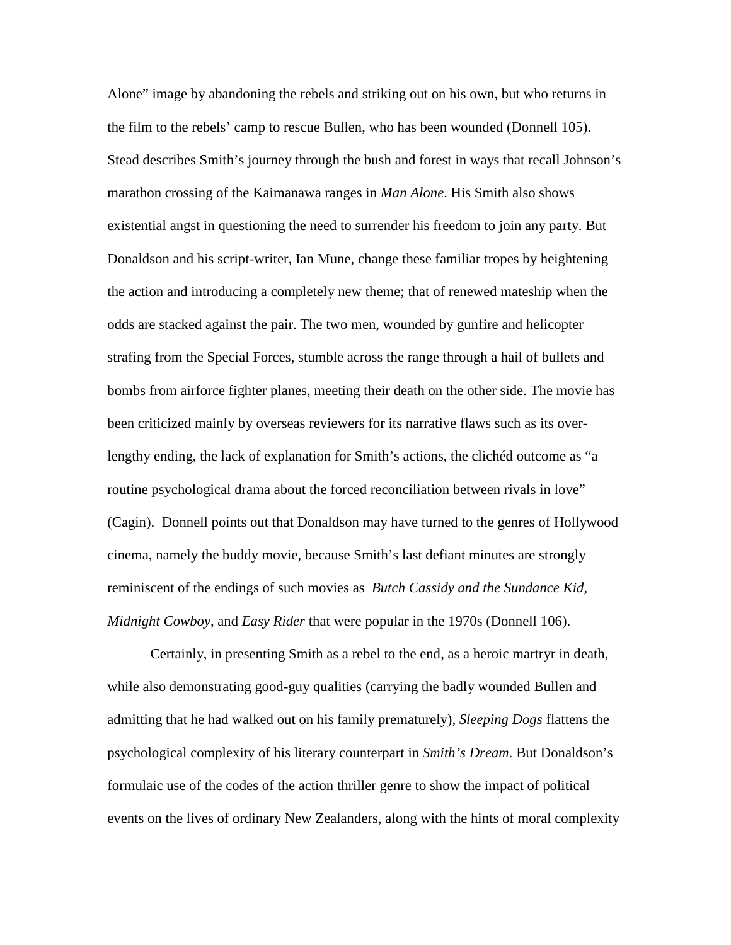Alone" image by abandoning the rebels and striking out on his own, but who returns in the film to the rebels' camp to rescue Bullen, who has been wounded (Donnell 105). Stead describes Smith's journey through the bush and forest in ways that recall Johnson's marathon crossing of the Kaimanawa ranges in *Man Alone*. His Smith also shows existential angst in questioning the need to surrender his freedom to join any party. But Donaldson and his script-writer, Ian Mune, change these familiar tropes by heightening the action and introducing a completely new theme; that of renewed mateship when the odds are stacked against the pair. The two men, wounded by gunfire and helicopter strafing from the Special Forces, stumble across the range through a hail of bullets and bombs from airforce fighter planes, meeting their death on the other side. The movie has been criticized mainly by overseas reviewers for its narrative flaws such as its overlengthy ending, the lack of explanation for Smith's actions, the clichéd outcome as "a routine psychological drama about the forced reconciliation between rivals in love" (Cagin). Donnell points out that Donaldson may have turned to the genres of Hollywood cinema, namely the buddy movie, because Smith's last defiant minutes are strongly reminiscent of the endings of such movies as *Butch Cassidy and the Sundance Kid, Midnight Cowboy*, and *Easy Rider* that were popular in the 1970s (Donnell 106).

Certainly, in presenting Smith as a rebel to the end, as a heroic martryr in death, while also demonstrating good-guy qualities (carrying the badly wounded Bullen and admitting that he had walked out on his family prematurely), *Sleeping Dogs* flattens the psychological complexity of his literary counterpart in *Smith's Dream*. But Donaldson's formulaic use of the codes of the action thriller genre to show the impact of political events on the lives of ordinary New Zealanders, along with the hints of moral complexity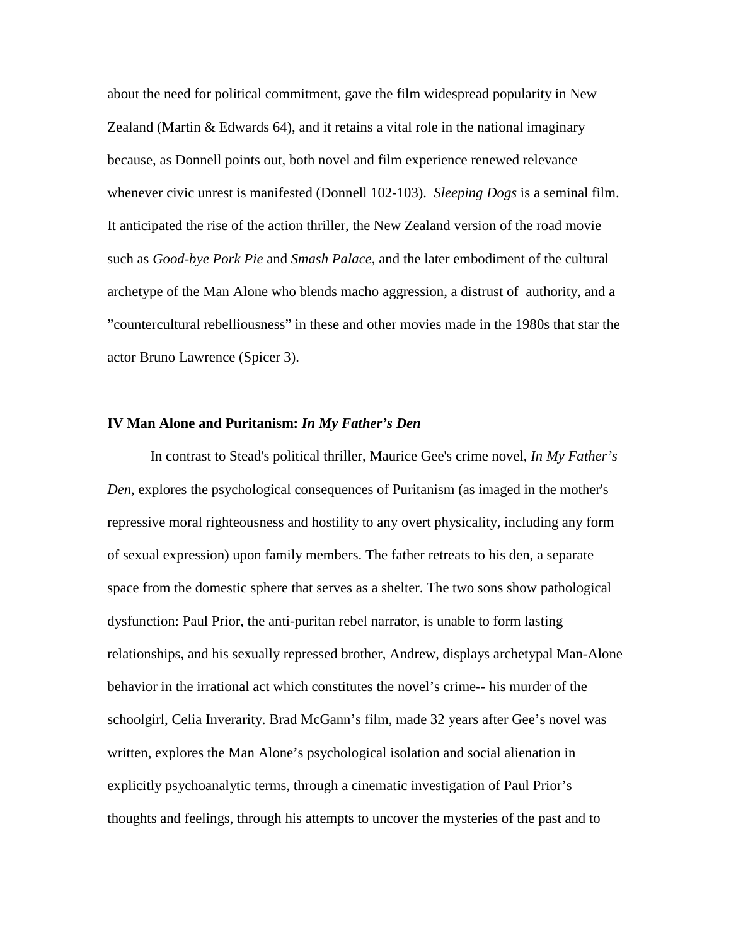about the need for political commitment, gave the film widespread popularity in New Zealand (Martin & Edwards 64), and it retains a vital role in the national imaginary because, as Donnell points out, both novel and film experience renewed relevance whenever civic unrest is manifested (Donnell 102-103). *Sleeping Dogs* is a seminal film. It anticipated the rise of the action thriller, the New Zealand version of the road movie such as *Good-bye Pork Pie* and *Smash Palace*, and the later embodiment of the cultural archetype of the Man Alone who blends macho aggression, a distrust of authority, and a "countercultural rebelliousness" in these and other movies made in the 1980s that star the actor Bruno Lawrence (Spicer 3).

### **IV Man Alone and Puritanism:** *In My Father's Den*

In contrast to Stead's political thriller, Maurice Gee's crime novel, *In My Father's Den*, explores the psychological consequences of Puritanism (as imaged in the mother's repressive moral righteousness and hostility to any overt physicality, including any form of sexual expression) upon family members. The father retreats to his den, a separate space from the domestic sphere that serves as a shelter. The two sons show pathological dysfunction: Paul Prior, the anti-puritan rebel narrator, is unable to form lasting relationships, and his sexually repressed brother, Andrew, displays archetypal Man-Alone behavior in the irrational act which constitutes the novel's crime-- his murder of the schoolgirl, Celia Inverarity. Brad McGann's film, made 32 years after Gee's novel was written, explores the Man Alone's psychological isolation and social alienation in explicitly psychoanalytic terms, through a cinematic investigation of Paul Prior's thoughts and feelings, through his attempts to uncover the mysteries of the past and to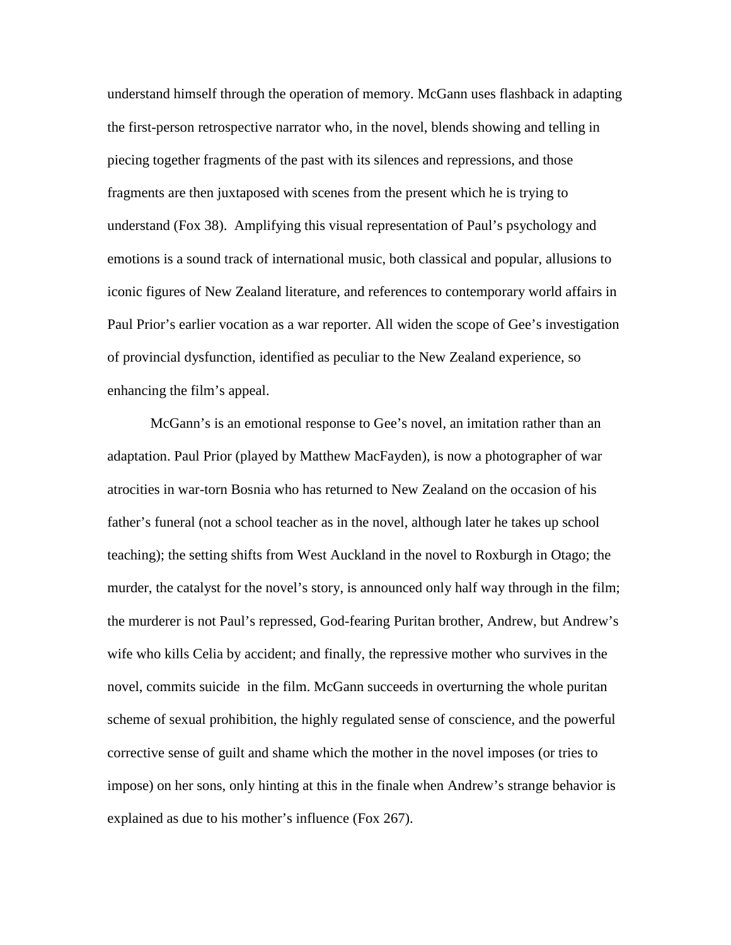understand himself through the operation of memory. McGann uses flashback in adapting the first-person retrospective narrator who, in the novel, blends showing and telling in piecing together fragments of the past with its silences and repressions, and those fragments are then juxtaposed with scenes from the present which he is trying to understand (Fox 38). Amplifying this visual representation of Paul's psychology and emotions is a sound track of international music, both classical and popular, allusions to iconic figures of New Zealand literature, and references to contemporary world affairs in Paul Prior's earlier vocation as a war reporter. All widen the scope of Gee's investigation of provincial dysfunction, identified as peculiar to the New Zealand experience, so enhancing the film's appeal.

McGann's is an emotional response to Gee's novel, an imitation rather than an adaptation. Paul Prior (played by Matthew MacFayden), is now a photographer of war atrocities in war-torn Bosnia who has returned to New Zealand on the occasion of his father's funeral (not a school teacher as in the novel, although later he takes up school teaching); the setting shifts from West Auckland in the novel to Roxburgh in Otago; the murder, the catalyst for the novel's story, is announced only half way through in the film; the murderer is not Paul's repressed, God-fearing Puritan brother, Andrew, but Andrew's wife who kills Celia by accident; and finally, the repressive mother who survives in the novel, commits suicide in the film. McGann succeeds in overturning the whole puritan scheme of sexual prohibition, the highly regulated sense of conscience, and the powerful corrective sense of guilt and shame which the mother in the novel imposes (or tries to impose) on her sons, only hinting at this in the finale when Andrew's strange behavior is explained as due to his mother's influence (Fox 267).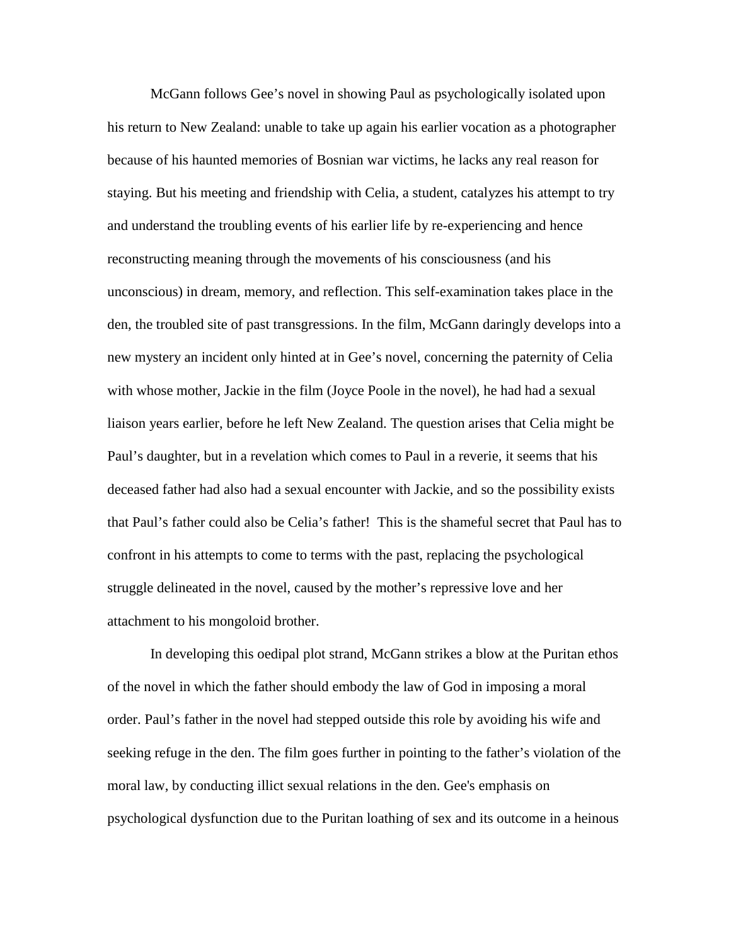McGann follows Gee's novel in showing Paul as psychologically isolated upon his return to New Zealand: unable to take up again his earlier vocation as a photographer because of his haunted memories of Bosnian war victims, he lacks any real reason for staying. But his meeting and friendship with Celia, a student, catalyzes his attempt to try and understand the troubling events of his earlier life by re-experiencing and hence reconstructing meaning through the movements of his consciousness (and his unconscious) in dream, memory, and reflection. This self-examination takes place in the den, the troubled site of past transgressions. In the film, McGann daringly develops into a new mystery an incident only hinted at in Gee's novel, concerning the paternity of Celia with whose mother, Jackie in the film (Joyce Poole in the novel), he had had a sexual liaison years earlier, before he left New Zealand. The question arises that Celia might be Paul's daughter, but in a revelation which comes to Paul in a reverie, it seems that his deceased father had also had a sexual encounter with Jackie, and so the possibility exists that Paul's father could also be Celia's father! This is the shameful secret that Paul has to confront in his attempts to come to terms with the past, replacing the psychological struggle delineated in the novel, caused by the mother's repressive love and her attachment to his mongoloid brother.

In developing this oedipal plot strand, McGann strikes a blow at the Puritan ethos of the novel in which the father should embody the law of God in imposing a moral order. Paul's father in the novel had stepped outside this role by avoiding his wife and seeking refuge in the den. The film goes further in pointing to the father's violation of the moral law, by conducting illict sexual relations in the den. Gee's emphasis on psychological dysfunction due to the Puritan loathing of sex and its outcome in a heinous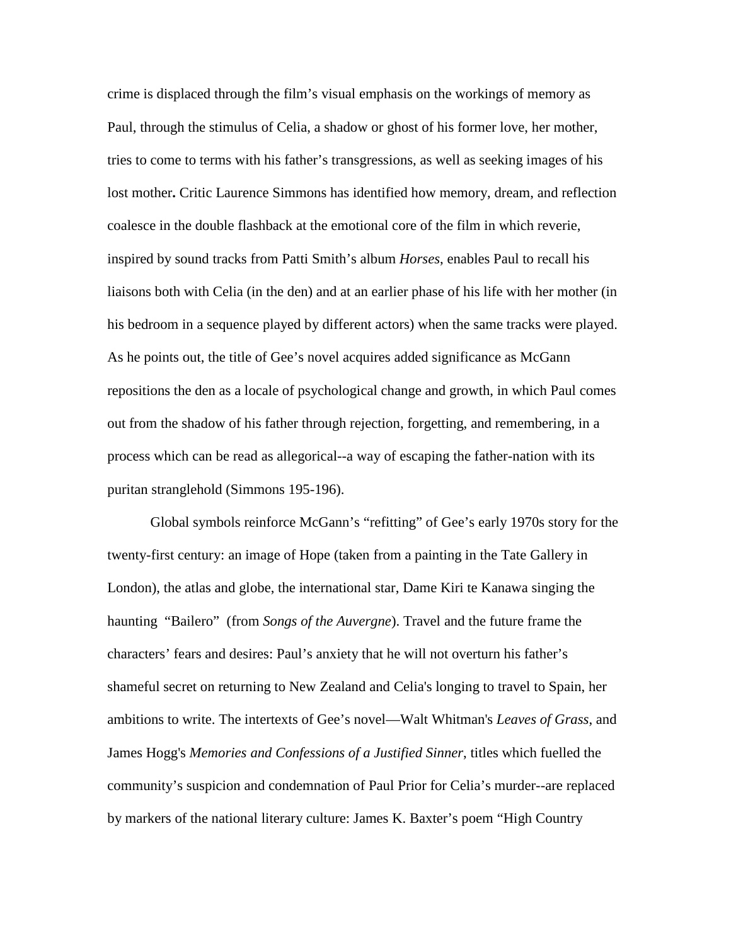crime is displaced through the film's visual emphasis on the workings of memory as Paul, through the stimulus of Celia, a shadow or ghost of his former love, her mother, tries to come to terms with his father's transgressions, as well as seeking images of his lost mother**.** Critic Laurence Simmons has identified how memory, dream, and reflection coalesce in the double flashback at the emotional core of the film in which reverie, inspired by sound tracks from Patti Smith's album *Horses*, enables Paul to recall his liaisons both with Celia (in the den) and at an earlier phase of his life with her mother (in his bedroom in a sequence played by different actors) when the same tracks were played. As he points out, the title of Gee's novel acquires added significance as McGann repositions the den as a locale of psychological change and growth, in which Paul comes out from the shadow of his father through rejection, forgetting, and remembering, in a process which can be read as allegorical--a way of escaping the father-nation with its puritan stranglehold (Simmons 195-196).

Global symbols reinforce McGann's "refitting" of Gee's early 1970s story for the twenty-first century: an image of Hope (taken from a painting in the Tate Gallery in London), the atlas and globe, the international star, Dame Kiri te Kanawa singing the haunting "Bailero" (from *Songs of the Auvergne*). Travel and the future frame the characters' fears and desires: Paul's anxiety that he will not overturn his father's shameful secret on returning to New Zealand and Celia's longing to travel to Spain, her ambitions to write. The intertexts of Gee's novel—Walt Whitman's *Leaves of Grass*, and James Hogg's *Memories and Confessions of a Justified Sinner*, titles which fuelled the community's suspicion and condemnation of Paul Prior for Celia's murder--are replaced by markers of the national literary culture: James K. Baxter's poem "High Country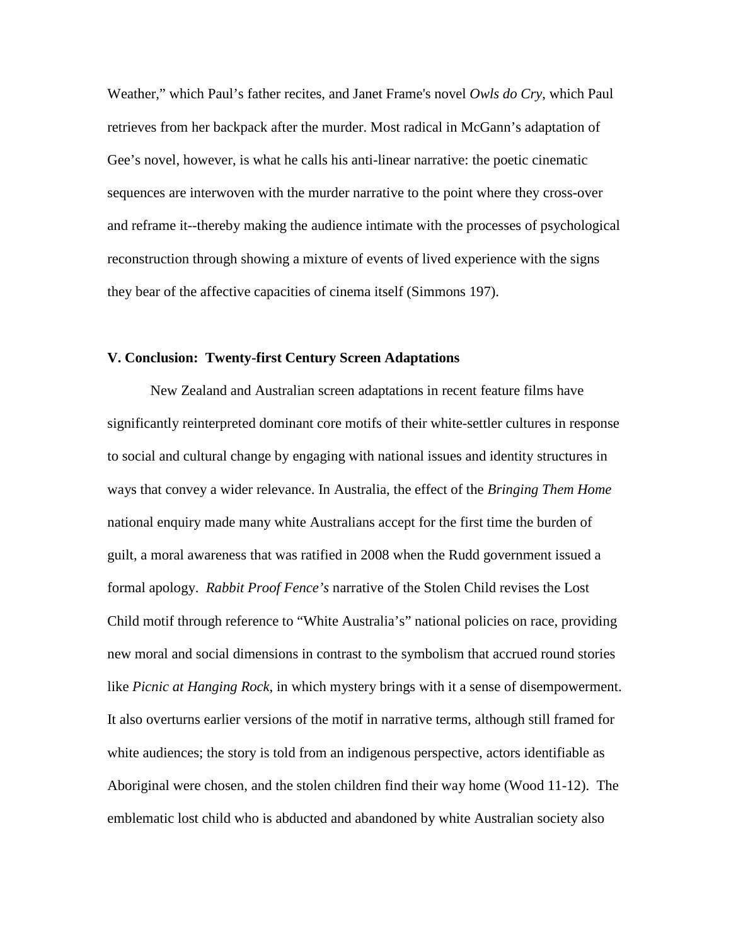Weather," which Paul's father recites, and Janet Frame's novel *Owls do Cry*, which Paul retrieves from her backpack after the murder. Most radical in McGann's adaptation of Gee's novel, however, is what he calls his anti-linear narrative: the poetic cinematic sequences are interwoven with the murder narrative to the point where they cross-over and reframe it--thereby making the audience intimate with the processes of psychological reconstruction through showing a mixture of events of lived experience with the signs they bear of the affective capacities of cinema itself (Simmons 197).

## **V. Conclusion: Twenty-first Century Screen Adaptations**

New Zealand and Australian screen adaptations in recent feature films have significantly reinterpreted dominant core motifs of their white-settler cultures in response to social and cultural change by engaging with national issues and identity structures in ways that convey a wider relevance. In Australia, the effect of the *Bringing Them Home* national enquiry made many white Australians accept for the first time the burden of guilt, a moral awareness that was ratified in 2008 when the Rudd government issued a formal apology. *Rabbit Proof Fence's* narrative of the Stolen Child revises the Lost Child motif through reference to "White Australia's" national policies on race, providing new moral and social dimensions in contrast to the symbolism that accrued round stories like *Picnic at Hanging Rock*, in which mystery brings with it a sense of disempowerment. It also overturns earlier versions of the motif in narrative terms, although still framed for white audiences; the story is told from an indigenous perspective, actors identifiable as Aboriginal were chosen, and the stolen children find their way home (Wood 11-12). The emblematic lost child who is abducted and abandoned by white Australian society also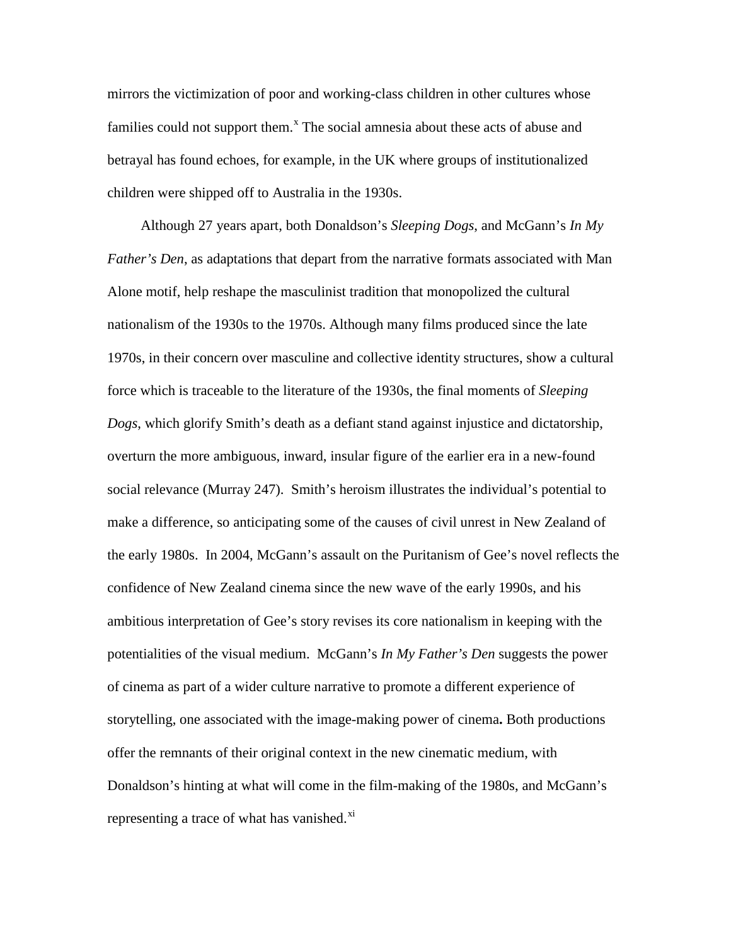mirrors the victimization of poor and working-class children in other cultures whose families could not support them.<sup>[x](#page-21-6)</sup> The social amnesia about these acts of abuse and betrayal has found echoes, for example, in the UK where groups of institutionalized children were shipped off to Australia in the 1930s.

Although 27 years apart, both Donaldson's *Sleeping Dogs*, and McGann's *In My Father's Den*, as adaptations that depart from the narrative formats associated with Man Alone motif, help reshape the masculinist tradition that monopolized the cultural nationalism of the 1930s to the 1970s. Although many films produced since the late 1970s, in their concern over masculine and collective identity structures, show a cultural force which is traceable to the literature of the 1930s, the final moments of *Sleeping Dogs*, which glorify Smith's death as a defiant stand against injustice and dictatorship, overturn the more ambiguous, inward, insular figure of the earlier era in a new-found social relevance (Murray 247). Smith's heroism illustrates the individual's potential to make a difference, so anticipating some of the causes of civil unrest in New Zealand of the early 1980s. In 2004, McGann's assault on the Puritanism of Gee's novel reflects the confidence of New Zealand cinema since the new wave of the early 1990s, and his ambitious interpretation of Gee's story revises its core nationalism in keeping with the potentialities of the visual medium. McGann's *In My Father's Den* suggests the power of cinema as part of a wider culture narrative to promote a different experience of storytelling, one associated with the image-making power of cinema**.** Both productions offer the remnants of their original context in the new cinematic medium, with Donaldson's hinting at what will come in the film-making of the 1980s, and McGann's representing a trace of what has vanished. $\frac{x_i}{x_i}$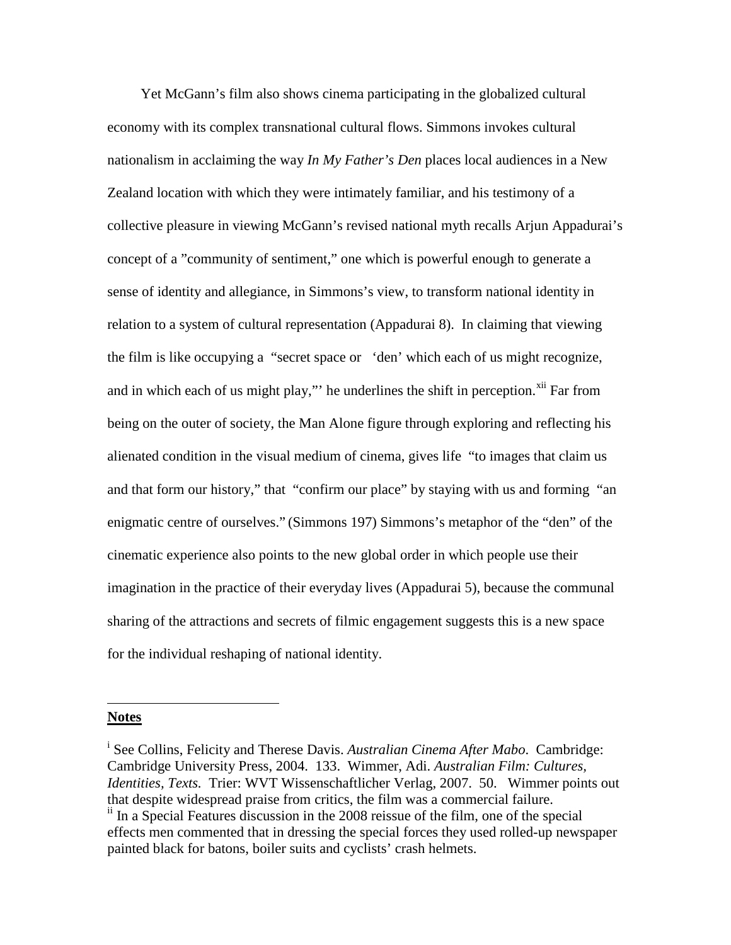Yet McGann's film also shows cinema participating in the globalized cultural economy with its complex transnational cultural flows. Simmons invokes cultural nationalism in acclaiming the way *In My Father's Den* places local audiences in a New Zealand location with which they were intimately familiar, and his testimony of a collective pleasure in viewing McGann's revised national myth recalls Arjun Appadurai's concept of a "community of sentiment," one which is powerful enough to generate a sense of identity and allegiance, in Simmons's view, to transform national identity in relation to a system of cultural representation (Appadurai 8). In claiming that viewing the film is like occupying a "secret space or 'den' which each of us might recognize, and in which each of us might play," he underlines the shift in perception. $^{xii}$  $^{xii}$  $^{xii}$  Far from being on the outer of society, the Man Alone figure through exploring and reflecting his alienated condition in the visual medium of cinema, gives life "to images that claim us and that form our history," that "confirm our place" by staying with us and forming "an enigmatic centre of ourselves." (Simmons 197) Simmons's metaphor of the "den" of the cinematic experience also points to the new global order in which people use their imagination in the practice of their everyday lives (Appadurai 5), because the communal sharing of the attractions and secrets of filmic engagement suggests this is a new space for the individual reshaping of national identity.

## <span id="page-18-0"></span>**Notes**

 $\overline{a}$ 

i See Collins, Felicity and Therese Davis. *Australian Cinema After Mabo*. Cambridge: Cambridge University Press, 2004. 133. Wimmer, Adi. *Australian Film: Cultures, Identities, Texts.* Trier: WVT Wissenschaftlicher Verlag, 2007. 50. Wimmer points out that despite widespread praise from critics, the film was a commercial failure. <sup>ii</sup> In a Special Features discussion in the 2008 reissue of the film, one of the special

effects men commented that in dressing the special forces they used rolled-up newspaper painted black for batons, boiler suits and cyclists' crash helmets.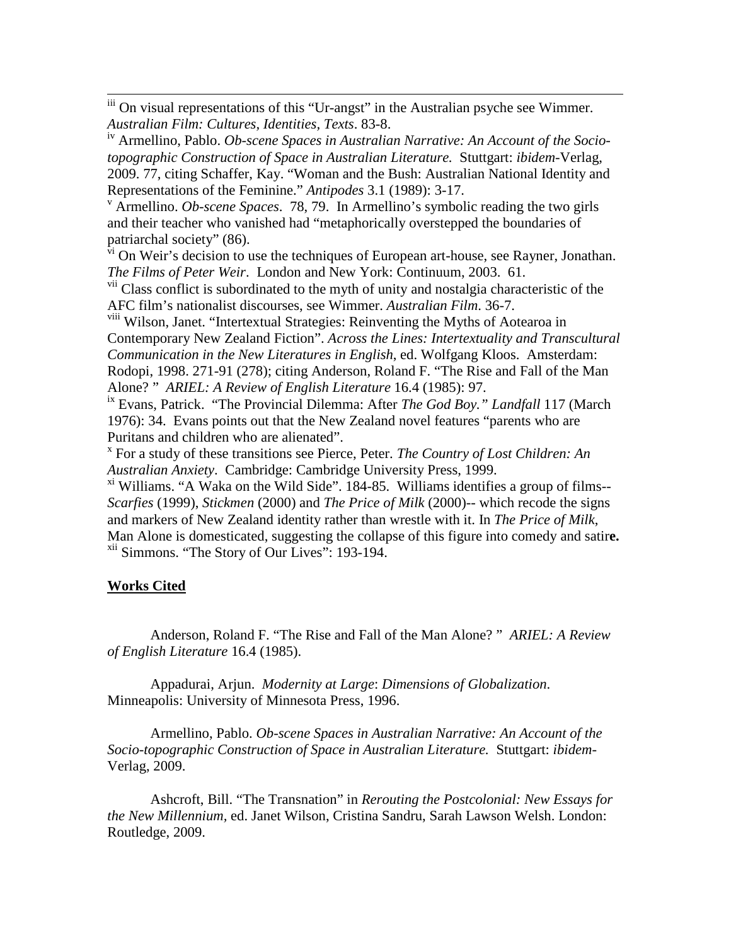iii On visual representations of this "Ur-angst" in the Australian psyche see Wimmer. *Australian Film: Cultures, Identities, Texts*. 83-8.

iv Armellino, Pablo. *Ob-scene Spaces in Australian Narrative: An Account of the Sociotopographic Construction of Space in Australian Literature.* Stuttgart: *ibidem*-Verlag, 2009. 77, citing Schaffer, Kay. "Woman and the Bush: Australian National Identity and Representations of the Feminine." *Antipodes* 3.1 (1989): 3-17.<br><sup>v</sup> Armellino. *Ob-scene Spaces*. 78, 79. In Armellino's symbolic reading the two girls

and their teacher who vanished had "metaphorically overstepped the boundaries of patriarchal society" (86).

 $\overline{v_i}$  On Weir's decision to use the techniques of European art-house, see Rayner, Jonathan. *The Films of Peter Weir*. London and New York: Continuum, 2003. 61.

<sup>vii</sup> Class conflict is subordinated to the myth of unity and nostalgia characteristic of the AFC film's nationalist discourses, see Wimmer. *Australian Film*. 36-7.

<sup>viii</sup> Wilson, Janet. "Intertextual Strategies: Reinventing the Myths of Aotearoa in Contemporary New Zealand Fiction". *Across the Lines: Intertextuality and Transcultural Communication in the New Literatures in English*, ed. Wolfgang Kloos. Amsterdam: Rodopi, 1998. 271-91 (278); citing Anderson, Roland F. "The Rise and Fall of the Man Alone? " *ARIEL: A Review of English Literature* 16.4 (1985): 97.

ix Evans, Patrick. "The Provincial Dilemma: After *The God Boy." Landfall* 117 (March 1976): 34. Evans points out that the New Zealand novel features "parents who are Puritans and children who are alienated".

<sup>x</sup> For a study of these transitions see Pierce, Peter. *The Country of Lost Children: An Australian Anxiety*. Cambridge: Cambridge University Press, 1999.

 $\frac{x_i}{x_i}$  Williams. "A Waka on the Wild Side". 184-85. Williams identifies a group of films--*Scarfies* (1999), *Stickmen* (2000) and *The Price of Milk* (2000)-- which recode the signs and markers of New Zealand identity rather than wrestle with it. In *The Price of Milk*, Man Alone is domesticated, suggesting the collapse of this figure into comedy and satir**e.** xii Simmons. "The Story of Our Lives": 193-194.

# **Works Cited**

Anderson, Roland F. "The Rise and Fall of the Man Alone? " *ARIEL: A Review of English Literature* 16.4 (1985).

Appadurai, Arjun. *Modernity at Large*: *Dimensions of Globalization*. Minneapolis: University of Minnesota Press, 1996.

Armellino, Pablo. *Ob-scene Spaces in Australian Narrative: An Account of the Socio-topographic Construction of Space in Australian Literature.* Stuttgart: *ibidem*-Verlag, 2009.

<span id="page-19-0"></span>Ashcroft, Bill. "The Transnation" in *Rerouting the Postcolonial: New Essays for the New Millennium,* ed. Janet Wilson, Cristina Sandru, Sarah Lawson Welsh. London: Routledge, 2009.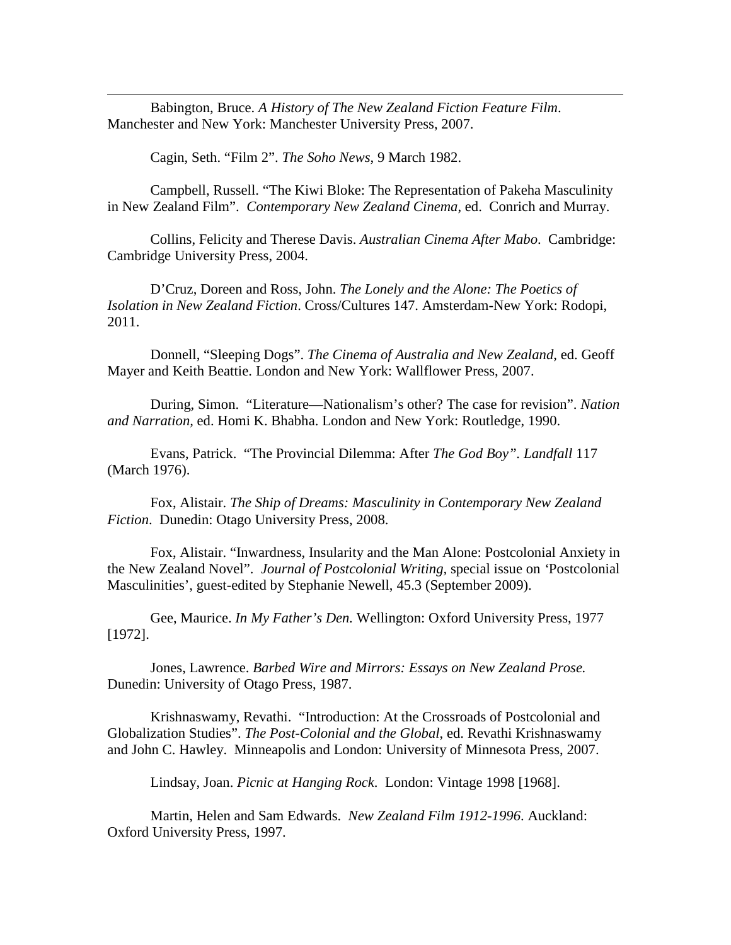<span id="page-20-0"></span>Babington, Bruce. *A History of The New Zealand Fiction Feature Film*. Manchester and New York: Manchester University Press, 2007.

Cagin, Seth. "Film 2". *The Soho News*, 9 March 1982.

 $\overline{a}$ 

Campbell, Russell. "The Kiwi Bloke: The Representation of Pakeha Masculinity in New Zealand Film". *Contemporary New Zealand Cinema*, ed. Conrich and Murray.

Collins, Felicity and Therese Davis. *Australian Cinema After Mabo*. Cambridge: Cambridge University Press, 2004.

D'Cruz, Doreen and Ross, John. *The Lonely and the Alone: The Poetics of Isolation in New Zealand Fiction*. Cross/Cultures 147. Amsterdam-New York: Rodopi, 2011.

Donnell, "Sleeping Dogs". *The Cinema of Australia and New Zealand*, ed. Geoff Mayer and Keith Beattie. London and New York: Wallflower Press, 2007.

During, Simon. "Literature—Nationalism's other? The case for revision". *Nation and Narration,* ed. Homi K. Bhabha. London and New York: Routledge, 1990.

Evans, Patrick. "The Provincial Dilemma: After *The God Boy". Landfall* 117 (March 1976).

Fox, Alistair. *The Ship of Dreams: Masculinity in Contemporary New Zealand Fiction*. Dunedin: Otago University Press, 2008.

Fox, Alistair. "Inwardness, Insularity and the Man Alone: Postcolonial Anxiety in the New Zealand Novel". *Journal of Postcolonial Writing,* special issue on *'*Postcolonial Masculinities', guest-edited by Stephanie Newell, 45.3 (September 2009).

Gee, Maurice. *In My Father's Den.* Wellington: Oxford University Press, 1977 [1972].

Jones, Lawrence. *Barbed Wire and Mirrors: Essays on New Zealand Prose.* Dunedin: University of Otago Press, 1987.

Krishnaswamy, Revathi. "Introduction: At the Crossroads of Postcolonial and Globalization Studies". *The Post-Colonial and the Global*, ed. Revathi Krishnaswamy and John C. Hawley. Minneapolis and London: University of Minnesota Press, 2007.

Lindsay, Joan. *Picnic at Hanging Rock*. London: Vintage 1998 [1968].

Martin, Helen and Sam Edwards. *New Zealand Film 1912-1996*. Auckland: Oxford University Press, 1997.